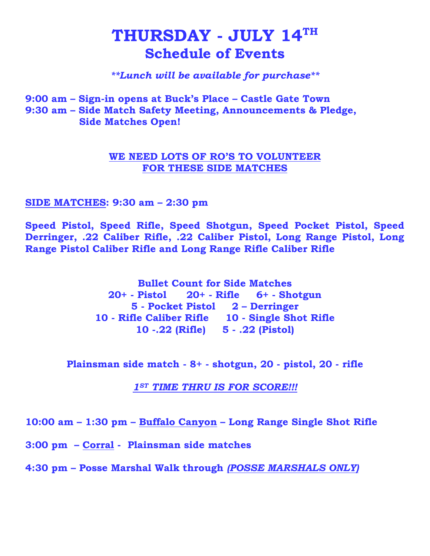# $\mathbf{THURSDAY}$  -  $\mathbf{JULY}$   $\mathbf{14}^{\mathrm{TH}}$ **Schedule of Events**

### *\*\*Lunch will be available for purchase\*\**

**9:00 am – Sign-in opens at Buck's Place – Castle Gate Town 9:30 am – Side Match Safety Meeting, Announcements & Pledge, Side Matches Open!**

### **WE NEED LOTS OF RO'S TO VOLUNTEER FOR THESE SIDE MATCHES**

### **SIDE MATCHES: 9:30 am – 2:30 pm**

**Speed Pistol, Speed Rifle, Speed Shotgun, Speed Pocket Pistol, Speed Derringer, .22 Caliber Rifle, .22 Caliber Pistol, Long Range Pistol, Long Range Pistol Caliber Rifle and Long Range Rifle Caliber Rifle** 

> **Bullet Count for Side Matches 20+ - Pistol 20+ - Rifle 6+ - Shotgun 5 - Pocket Pistol 2 – Derringer 10 - Rifle Caliber Rifle 10 - Single Shot Rifle 10 -.22 (Rifle) 5 - .22 (Pistol)**

**Plainsman side match - 8+ - shotgun, 20 - pistol, 20 - rifle**

*1ST TIME THRU IS FOR SCORE!!!*

**10:00 am – 1:30 pm – Buffalo Canyon – Long Range Single Shot Rifle** 

**3:00 pm – Corral - Plainsman side matches** 

**4:30 pm – Posse Marshal Walk through** *(POSSE MARSHALS ONLY)*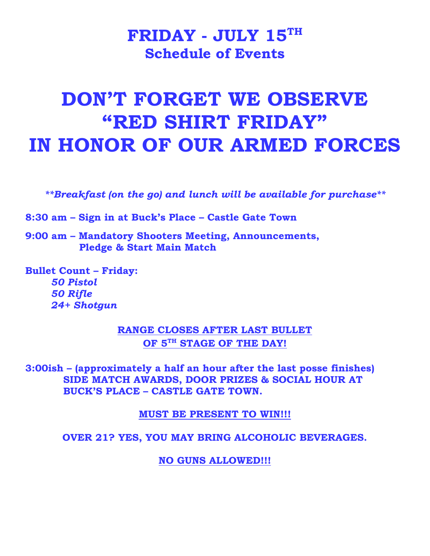# $\mathbf{F}\mathbf{R}\mathbf{ID}\mathbf{AY}$  -  $\mathbf{J}\mathbf{UL}\mathbf{Y}$   $\mathbf{15}^\mathrm{TH}$ **Schedule of Events**

# **DON'T FORGET WE OBSERVE "RED SHIRT FRIDAY" IN HONOR OF OUR ARMED FORCES**

*\*\*Breakfast (on the go) and lunch will be available for purchase\*\**

**8:30 am – Sign in at Buck's Place – Castle Gate Town**

**9:00 am – Mandatory Shooters Meeting, Announcements, Pledge & Start Main Match** 

**Bullet Count – Friday:**  *50 Pistol 50 Rifle 24+ Shotgun*

> **RANGE CLOSES AFTER LAST BULLET OF 5TH STAGE OF THE DAY!**

**3:00ish – (approximately a half an hour after the last posse finishes) SIDE MATCH AWARDS, DOOR PRIZES & SOCIAL HOUR AT BUCK'S PLACE – CASTLE GATE TOWN.**

**MUST BE PRESENT TO WIN!!!**

**OVER 21? YES, YOU MAY BRING ALCOHOLIC BEVERAGES.**

**NO GUNS ALLOWED!!!**